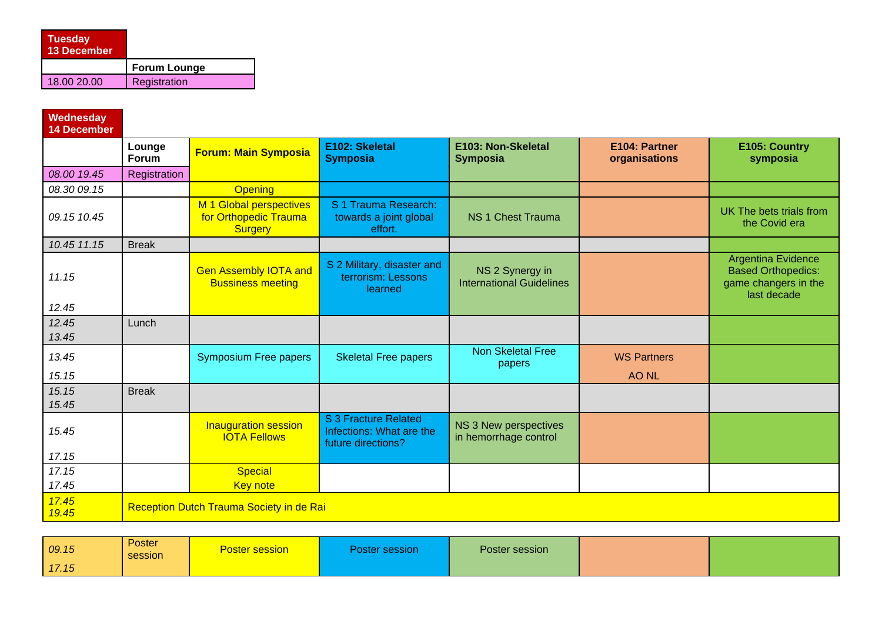| <b>Tuesday</b><br><b>13 December</b> |                     |
|--------------------------------------|---------------------|
|                                      | <b>Forum Lounge</b> |
| 18.00 20.00                          | Registration        |

**Wednesday** 

| Wednesday<br><b>14 December</b> |                 |                                                                    |                                                                        |                                                    |                                |                                                                                               |
|---------------------------------|-----------------|--------------------------------------------------------------------|------------------------------------------------------------------------|----------------------------------------------------|--------------------------------|-----------------------------------------------------------------------------------------------|
|                                 | Lounge<br>Forum | <b>Forum: Main Symposia</b>                                        | E102: Skeletal<br><b>Symposia</b>                                      | E103: Non-Skeletal<br><b>Symposia</b>              | E104: Partner<br>organisations | E105: Country<br>symposia                                                                     |
| 08.00 19.45                     | Registration    |                                                                    |                                                                        |                                                    |                                |                                                                                               |
| 08.30 09.15                     |                 | <b>Opening</b>                                                     |                                                                        |                                                    |                                |                                                                                               |
| 09.15 10.45                     |                 | M 1 Global perspectives<br>for Orthopedic Trauma<br><b>Surgery</b> | S 1 Trauma Research:<br>towards a joint global<br>effort.              | NS 1 Chest Trauma                                  |                                | UK The bets trials from<br>the Covid era                                                      |
| 10.45 11.15                     | <b>Break</b>    |                                                                    |                                                                        |                                                    |                                |                                                                                               |
| 11.15                           |                 | <b>Gen Assembly IOTA and</b><br><b>Bussiness meeting</b>           | S 2 Military, disaster and<br>terrorism: Lessons<br>learned            | NS 2 Synergy in<br><b>International Guidelines</b> |                                | <b>Argentina Evidence</b><br><b>Based Orthopedics:</b><br>game changers in the<br>last decade |
| 12.45                           |                 |                                                                    |                                                                        |                                                    |                                |                                                                                               |
| 12.45<br>13.45                  | Lunch           |                                                                    |                                                                        |                                                    |                                |                                                                                               |
| 13.45                           |                 | <b>Symposium Free papers</b>                                       | <b>Skeletal Free papers</b>                                            | Non Skeletal Free<br>papers                        | <b>WS Partners</b>             |                                                                                               |
| 15.15                           |                 |                                                                    |                                                                        |                                                    | <b>AO NL</b>                   |                                                                                               |
| 15.15<br>15.45                  | <b>Break</b>    |                                                                    |                                                                        |                                                    |                                |                                                                                               |
| 15.45                           |                 | Inauguration session<br><b>IOTA Fellows</b>                        | S 3 Fracture Related<br>Infections: What are the<br>future directions? | NS 3 New perspectives<br>in hemorrhage control     |                                |                                                                                               |
| 17.15                           |                 |                                                                    |                                                                        |                                                    |                                |                                                                                               |
| 17.15                           |                 | <b>Special</b>                                                     |                                                                        |                                                    |                                |                                                                                               |
| 17.45                           |                 | <b>Key note</b>                                                    |                                                                        |                                                    |                                |                                                                                               |
| 17.45<br>19.45                  |                 | Reception Dutch Trauma Society in de Rai                           |                                                                        |                                                    |                                |                                                                                               |

| 09.15 | Poster<br>session | <u>Poster session_</u> | Poster session \ | Poster session |  |
|-------|-------------------|------------------------|------------------|----------------|--|
| 17.15 |                   |                        |                  |                |  |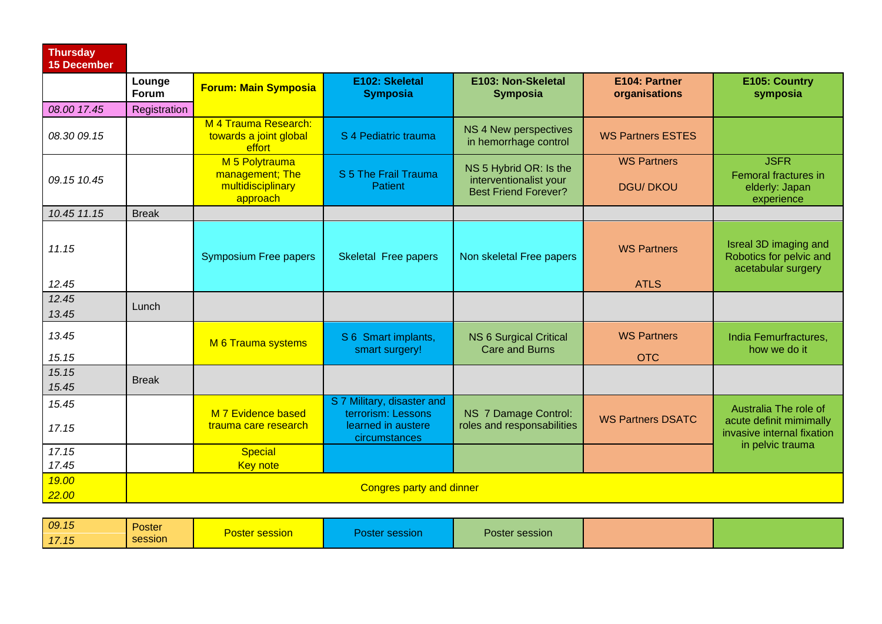| <b>Thursday</b><br><b>15 December</b> |                        |                                                          |                                                                        |                                                       |                                   |                                                                        |
|---------------------------------------|------------------------|----------------------------------------------------------|------------------------------------------------------------------------|-------------------------------------------------------|-----------------------------------|------------------------------------------------------------------------|
|                                       | Lounge<br><b>Forum</b> | <b>Forum: Main Symposia</b>                              | E102: Skeletal<br><b>Symposia</b>                                      | E103: Non-Skeletal<br><b>Symposia</b>                 | E104: Partner<br>organisations    | E105: Country<br>symposia                                              |
| 08.00 17.45                           | Registration           |                                                          |                                                                        |                                                       |                                   |                                                                        |
| 08.30 09.15                           |                        | M 4 Trauma Research:<br>towards a joint global<br>effort | S 4 Pediatric trauma                                                   | NS 4 New perspectives<br>in hemorrhage control        | <b>WS Partners ESTES</b>          |                                                                        |
|                                       |                        | M 5 Polytrauma                                           |                                                                        | NS 5 Hybrid OR: Is the                                | <b>WS Partners</b>                | <b>JSFR</b>                                                            |
| 09.15 10.45                           |                        | management; The<br>multidisciplinary<br>approach         | S 5 The Frail Trauma<br><b>Patient</b>                                 | interventionalist your<br><b>Best Friend Forever?</b> | <b>DGU/DKOU</b>                   | Femoral fractures in<br>elderly: Japan<br>experience                   |
| 10.45 11.15                           | <b>Break</b>           |                                                          |                                                                        |                                                       |                                   |                                                                        |
| 11.15<br>12.45                        |                        | <b>Symposium Free papers</b>                             | Skeletal Free papers                                                   | Non skeletal Free papers                              | <b>WS Partners</b><br><b>ATLS</b> | Isreal 3D imaging and<br>Robotics for pelvic and<br>acetabular surgery |
| 12.45<br>13.45                        | Lunch                  |                                                          |                                                                        |                                                       |                                   |                                                                        |
| 13.45<br>15.15                        |                        | M 6 Trauma systems                                       | S 6 Smart implants,<br>smart surgery!                                  | NS 6 Surgical Critical<br><b>Care and Burns</b>       | <b>WS Partners</b><br><b>OTC</b>  | India Femurfractures.<br>how we do it                                  |
| 15.15<br>15.45                        | <b>Break</b>           |                                                          |                                                                        |                                                       |                                   |                                                                        |
| 15.45                                 |                        | M 7 Evidence based<br>trauma care research               | S 7 Military, disaster and<br>terrorism: Lessons<br>learned in austere | NS 7 Damage Control:<br>roles and responsabilities    | <b>WS Partners DSATC</b>          | Australia The role of<br>acute definit mimimally                       |
| 17.15                                 |                        |                                                          | circumstances                                                          |                                                       |                                   | invasive internal fixation                                             |
| 17.15<br>17.45                        |                        | <b>Special</b>                                           |                                                                        |                                                       |                                   | in pelvic trauma                                                       |
| 19.00                                 |                        | <b>Key note</b>                                          |                                                                        |                                                       |                                   |                                                                        |
| 22.00                                 |                        |                                                          | <b>Congres party and dinner</b>                                        |                                                       |                                   |                                                                        |

| 09.15 | Poster  |                       |                 |                |  |
|-------|---------|-----------------------|-----------------|----------------|--|
| 17.15 | session | <b>Poster session</b> | Poster session_ | Poster session |  |